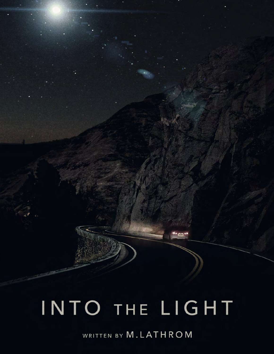## INTO THE LIGHT

WRITTEN BY M.LATHROM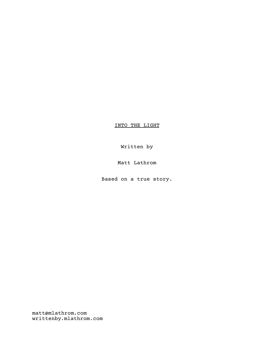INTO THE LIGHT

Written by

Matt Lathrom

Based on a true story.

matt@mlathrom.com writtenby.mlathrom.com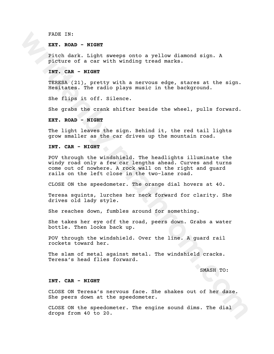FADE IN:

**EXT. ROAD - NIGHT**

Pitch dark. Light sweeps onto a yellow diamond sign. A picture of a car with winding tread marks.

**INT. CAR - NIGHT**

TERESA (21), pretty with a nervous edge, stares at the sign. Hesitates. The radio plays music in the background.

She flips it off. Silence.

She grabs the crank shifter beside the wheel, pulls forward.

**EXT. ROAD - NIGHT**

The light leaves the sign. Behind it, the red tail lights grow smaller as the car drives up the mountain road.

**INT. CAR - NIGHT**

FADE IN:<br>
EXT. ROAD - NIGHT<br>
Pitch dark. Light sweeps onto a yellow diamond sign. A<br>
picture of a car with winding tread marks.<br>
INT (RAS - NIGHT<br>
TERESA (21), pretty with a nervous edge, stares at the sign.<br>
TERESA (21), POV through the windshield. The headlights illuminate the windy road only a few car lengths ahead. Curves and turns come out of nowhere. A rock wall on the right and guard rails on the left close in the two-lane road.

CLOSE ON the speedometer. The orange dial hovers at 40.

Teresa squints, lurches her neck forward for clarity. She drives old lady style.

She reaches down, fumbles around for something.

She takes her eye off the road, peers down. Grabs a water bottle. Then looks back up.

POV through the windshield. Over the line. A guard rail rockets toward her.

The slam of metal against metal. The windshield cracks. Teresa's head flies forward.

SMASH TO:

## **INT. CAR - NIGHT**

CLOSE ON Teresa's nervous face. She shakes out of her daze. She peers down at the speedometer.

CLOSE ON the speedometer. The engine sound dims. The dial drops from 40 to 20.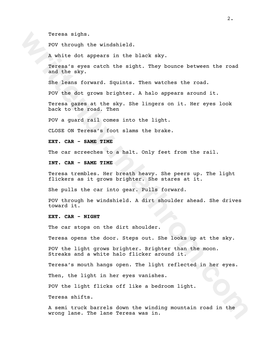Teresa sighs.

POV through the windshield.

A white dot appears in the black sky.

Teresa sigha.<br>
Pov throngh the windshield.<br>
A white dot appears in the black sky.<br>
Tergsa's eyes catch the sight. They bounce between the road<br>
and the sky.<br>
Sergsa's eyes catch the sight. Then watches the road.<br>
She leans Teresa's eyes catch the sight. They bounce between the road and the sky.

She leans forward. Squints. Then watches the road.

POV the dot grows brighter. A halo appears around it.

Teresa gazes at the sky. She lingers on it. Her eyes look back to the road. Then

POV a guard rail comes into the light.

CLOSE ON Teresa's foot slams the brake.

**EXT. CAR - SAME TIME**

The car screeches to a halt. Only feet from the rail.

**INT. CAR - SAME TIME**

Teresa trembles. Her breath heavy. She peers up. The light flickers as it grows brighter. She stares at it.

She pulls the car into gear. Pulls forward.

POV through he windshield. A dirt shoulder ahead. She drives toward it.

**EXT. CAR - NIGHT**

The car stops on the dirt shoulder.

Teresa opens the door. Steps out. She looks up at the sky.

POV the light grows brighter. Brighter than the moon. Streaks and a white halo flicker around it.

Teresa's mouth hangs open. The light reflected in her eyes.

Then, the light in her eyes vanishes.

POV the light flicks off like a bedroom light.

Teresa shifts.

A semi truck barrels down the winding mountain road in the wrong lane. The lane Teresa was in.